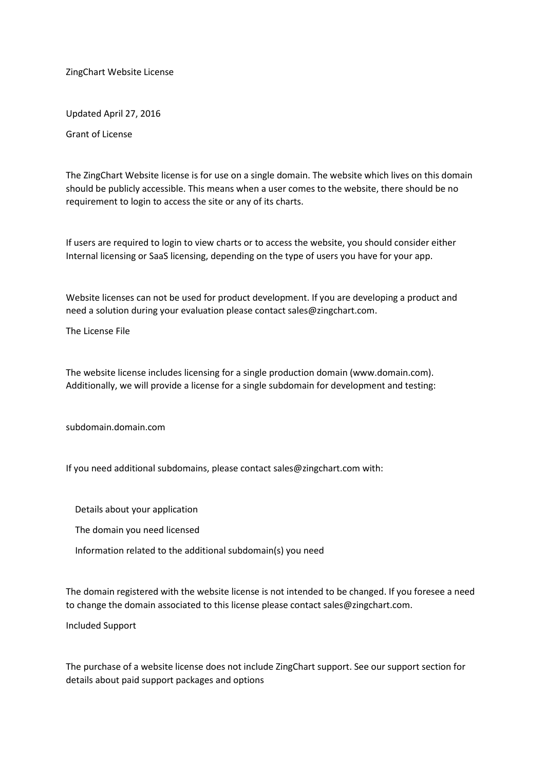ZingChart Website License

Updated April 27, 2016

Grant of License

The ZingChart Website license is for use on a single domain. The website which lives on this domain should be publicly accessible. This means when a user comes to the website, there should be no requirement to login to access the site or any of its charts.

If users are required to login to view charts or to access the website, you should consider either Internal licensing or SaaS licensing, depending on the type of users you have for your app.

Website licenses can not be used for product development. If you are developing a product and need a solution during your evaluation please contact sales@zingchart.com.

The License File

The website license includes licensing for a single production domain (www.domain.com). Additionally, we will provide a license for a single subdomain for development and testing:

subdomain.domain.com

If you need additional subdomains, please contact sales@zingchart.com with:

Details about your application

The domain you need licensed

Information related to the additional subdomain(s) you need

The domain registered with the website license is not intended to be changed. If you foresee a need to change the domain associated to this license please contact sales@zingchart.com.

Included Support

The purchase of a website license does not include ZingChart support. See our support section for details about paid support packages and options